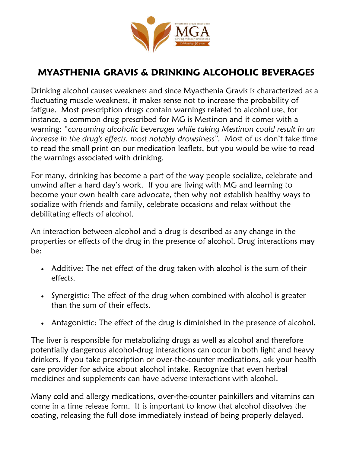

## MYASTHENIA GRAVIS & DRINKING ALCOHOLIC BEVERAGES

Drinking alcohol causes weakness and since Myasthenia Gravis is characterized as a fluctuating muscle weakness, it makes sense not to increase the probability of fatigue. Most prescription drugs contain warnings related to alcohol use, for instance, a common drug prescribed for MG is Mestinon and it comes with a warning: "consuming alcoholic beverages while taking Mestinon could result in an increase in the drug's effects, most notably drowsiness". Most of us don't take time to read the small print on our medication leaflets, but you would be wise to read the warnings associated with drinking.

For many, drinking has become a part of the way people socialize, celebrate and unwind after a hard day's work. If you are living with MG and learning to become your own health care advocate, then why not establish healthy ways to socialize with friends and family, celebrate occasions and relax without the debilitating effects of alcohol.

An interaction between alcohol and a drug is described as any change in the properties or effects of the drug in the presence of alcohol. Drug interactions may be:

- Additive: The net effect of the drug taken with alcohol is the sum of their effects.
- Synergistic: The effect of the drug when combined with alcohol is greater than the sum of their effects.
- Antagonistic: The effect of the drug is diminished in the presence of alcohol.

The liver is responsible for metabolizing drugs as well as alcohol and therefore potentially dangerous alcohol-drug interactions can occur in both light and heavy drinkers. If you take prescription or over-the-counter medications, ask your health care provider for advice about alcohol intake. Recognize that even herbal medicines and supplements can have adverse interactions with alcohol.

Many cold and allergy medications, over-the-counter painkillers and vitamins can come in a time release form. It is important to know that alcohol dissolves the coating, releasing the full dose immediately instead of being properly delayed.